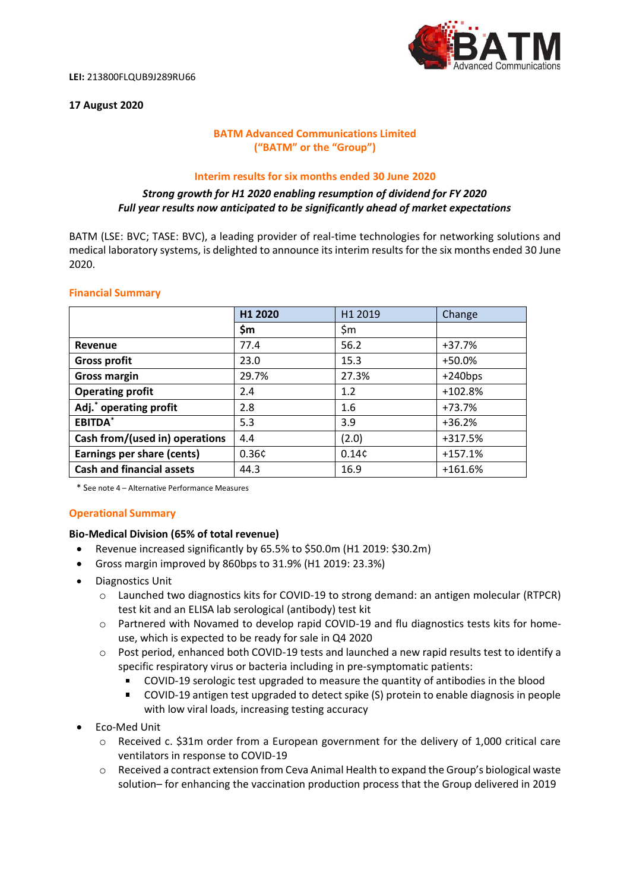

### **17 August 2020**

## **BATM Advanced Communications Limited ("BATM" or the "Group")**

#### **Interim results for six months ended 30 June 2020**

### *Strong growth for H1 2020 enabling resumption of dividend for FY 2020 Full year results now anticipated to be significantly ahead of market expectations*

BATM (LSE: BVC; TASE: BVC), a leading provider of real-time technologies for networking solutions and medical laboratory systems, is delighted to announce its interim results for the six months ended 30 June 2020.

### **Financial Summary**

|                                    | H1 2020 | H1 2019 | Change    |
|------------------------------------|---------|---------|-----------|
|                                    | \$m     | \$m     |           |
| Revenue                            | 77.4    | 56.2    | $+37.7%$  |
| <b>Gross profit</b>                | 23.0    | 15.3    | $+50.0%$  |
| <b>Gross margin</b>                | 29.7%   | 27.3%   | $+240bps$ |
| <b>Operating profit</b>            | 2.4     | 1.2     | $+102.8%$ |
| Adj. <sup>*</sup> operating profit | 2.8     | 1.6     | +73.7%    |
| EBITDA*                            | 5.3     | 3.9     | $+36.2%$  |
| Cash from/(used in) operations     | 4.4     | (2.0)   | +317.5%   |
| Earnings per share (cents)         | 0.36c   | 0.14c   | $+157.1%$ |
| <b>Cash and financial assets</b>   | 44.3    | 16.9    | $+161.6%$ |

\* See note 4 – Alternative Performance Measures

### **Operational Summary**

### **Bio-Medical Division (65% of total revenue)**

- Revenue increased significantly by 65.5% to \$50.0m (H1 2019: \$30.2m)
- Gross margin improved by 860bps to 31.9% (H1 2019: 23.3%)
- Diagnostics Unit
	- o Launched two diagnostics kits for COVID-19 to strong demand: an antigen molecular (RTPCR) test kit and an ELISA lab serological (antibody) test kit
	- o Partnered with Novamed to develop rapid COVID-19 and flu diagnostics tests kits for homeuse, which is expected to be ready for sale in Q4 2020
	- o Post period, enhanced both COVID-19 tests and launched a new rapid results test to identify a specific respiratory virus or bacteria including in pre-symptomatic patients:
		- COVID-19 serologic test upgraded to measure the quantity of antibodies in the blood
		- COVID-19 antigen test upgraded to detect spike (S) protein to enable diagnosis in people with low viral loads, increasing testing accuracy
- Eco-Med Unit
	- o Received c. \$31m order from a European government for the delivery of 1,000 critical care ventilators in response to COVID-19
	- o Received a contract extension from Ceva Animal Health to expand the Group's biological waste solution– for enhancing the vaccination production process that the Group delivered in 2019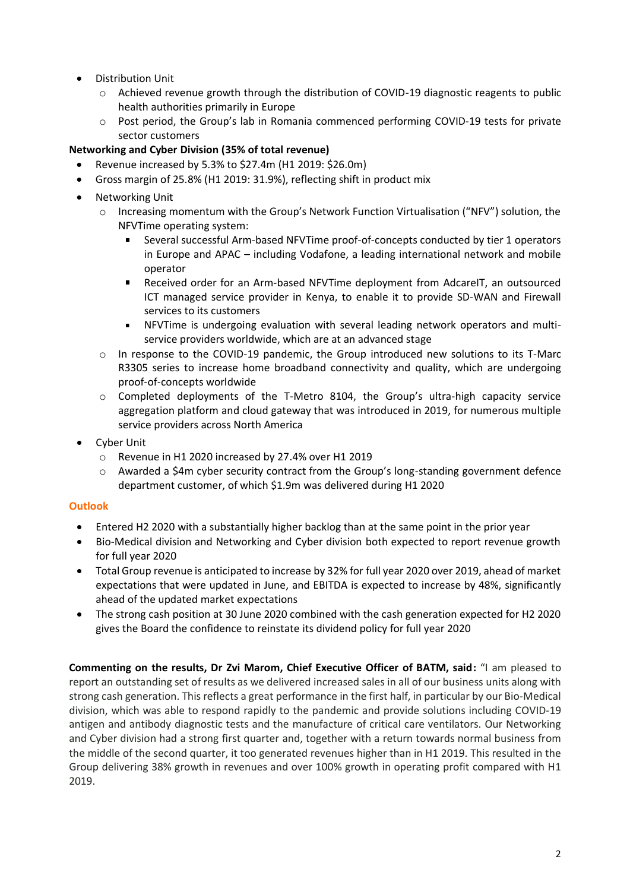- Distribution Unit
	- o Achieved revenue growth through the distribution of COVID-19 diagnostic reagents to public health authorities primarily in Europe
	- Post period, the Group's lab in Romania commenced performing COVID-19 tests for private sector customers

## **Networking and Cyber Division (35% of total revenue)**

- Revenue increased by 5.3% to \$27.4m (H1 2019: \$26.0m)
- Gross margin of 25.8% (H1 2019: 31.9%), reflecting shift in product mix
- Networking Unit
	- o Increasing momentum with the Group's Network Function Virtualisation ("NFV") solution, the NFVTime operating system:
		- Several successful Arm-based NFVTime proof-of-concepts conducted by tier 1 operators  $\blacksquare$ in Europe and APAC – including Vodafone, a leading international network and mobile operator
		- Received order for an Arm-based NFVTime deployment from AdcareIT, an outsourced ICT managed service provider in Kenya, to enable it to provide SD-WAN and Firewall services to its customers
		- NFVTime is undergoing evaluation with several leading network operators and multiservice providers worldwide, which are at an advanced stage
	- o In response to the COVID-19 pandemic, the Group introduced new solutions to its T-Marc R3305 series to increase home broadband connectivity and quality, which are undergoing proof-of-concepts worldwide
	- $\circ$  Completed deployments of the T-Metro 8104, the Group's ultra-high capacity service aggregation platform and cloud gateway that was introduced in 2019, for numerous multiple service providers across North America
- Cyber Unit
	- o Revenue in H1 2020 increased by 27.4% over H1 2019
	- o Awarded a \$4m cyber security contract from the Group's long-standing government defence department customer, of which \$1.9m was delivered during H1 2020

## **Outlook**

- Entered H2 2020 with a substantially higher backlog than at the same point in the prior year
- Bio-Medical division and Networking and Cyber division both expected to report revenue growth for full year 2020
- Total Group revenue is anticipated to increase by 32% for full year 2020 over 2019, ahead of market expectations that were updated in June, and EBITDA is expected to increase by 48%, significantly ahead of the updated market expectations
- The strong cash position at 30 June 2020 combined with the cash generation expected for H2 2020 gives the Board the confidence to reinstate its dividend policy for full year 2020

**Commenting on the results, Dr Zvi Marom, Chief Executive Officer of BATM, said:** "I am pleased to report an outstanding set of results as we delivered increased sales in all of our business units along with strong cash generation. This reflects a great performance in the first half, in particular by our Bio-Medical division, which was able to respond rapidly to the pandemic and provide solutions including COVID-19 antigen and antibody diagnostic tests and the manufacture of critical care ventilators. Our Networking and Cyber division had a strong first quarter and, together with a return towards normal business from the middle of the second quarter, it too generated revenues higher than in H1 2019. This resulted in the Group delivering 38% growth in revenues and over 100% growth in operating profit compared with H1 2019.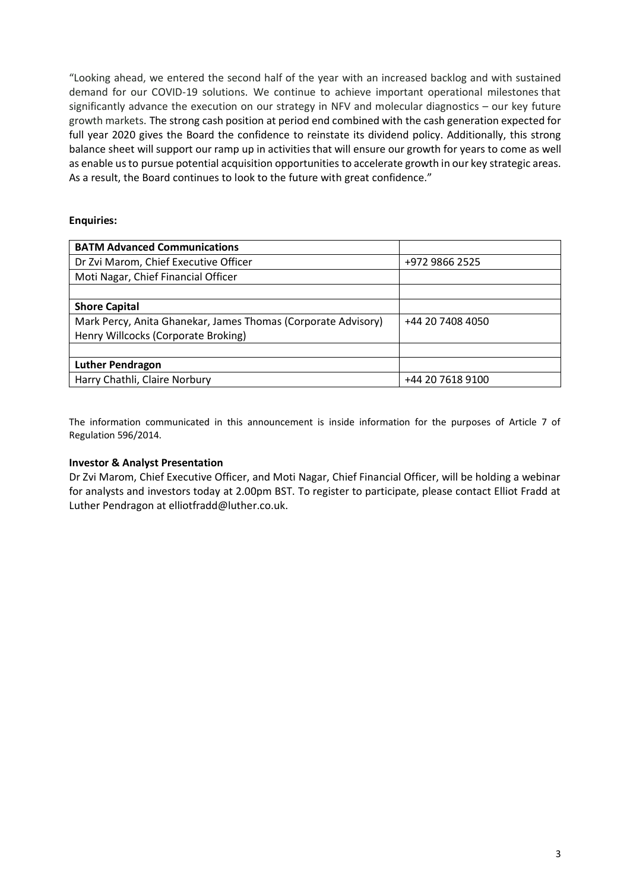"Looking ahead, we entered the second half of the year with an increased backlog and with sustained demand for our COVID-19 solutions. We continue to achieve important operational milestones that significantly advance the execution on our strategy in NFV and molecular diagnostics – our key future growth markets. The strong cash position at period end combined with the cash generation expected for full year 2020 gives the Board the confidence to reinstate its dividend policy. Additionally, this strong balance sheet will support our ramp up in activities that will ensure our growth for years to come as well as enable us to pursue potential acquisition opportunities to accelerate growth in our key strategic areas. As a result, the Board continues to look to the future with great confidence."

## **Enquiries:**

| <b>BATM Advanced Communications</b>                           |                  |
|---------------------------------------------------------------|------------------|
| Dr Zvi Marom, Chief Executive Officer                         | +972 9866 2525   |
| Moti Nagar, Chief Financial Officer                           |                  |
|                                                               |                  |
| <b>Shore Capital</b>                                          |                  |
| Mark Percy, Anita Ghanekar, James Thomas (Corporate Advisory) | +44 20 7408 4050 |
| Henry Willcocks (Corporate Broking)                           |                  |
|                                                               |                  |
| <b>Luther Pendragon</b>                                       |                  |
| Harry Chathli, Claire Norbury                                 | +44 20 7618 9100 |
|                                                               |                  |

The information communicated in this announcement is inside information for the purposes of Article 7 of Regulation 596/2014.

## **Investor & Analyst Presentation**

Dr Zvi Marom, Chief Executive Officer, and Moti Nagar, Chief Financial Officer, will be holding a webinar for analysts and investors today at 2.00pm BST. To register to participate, please contact Elliot Fradd at Luther Pendragon at elliotfradd@luther.co.uk.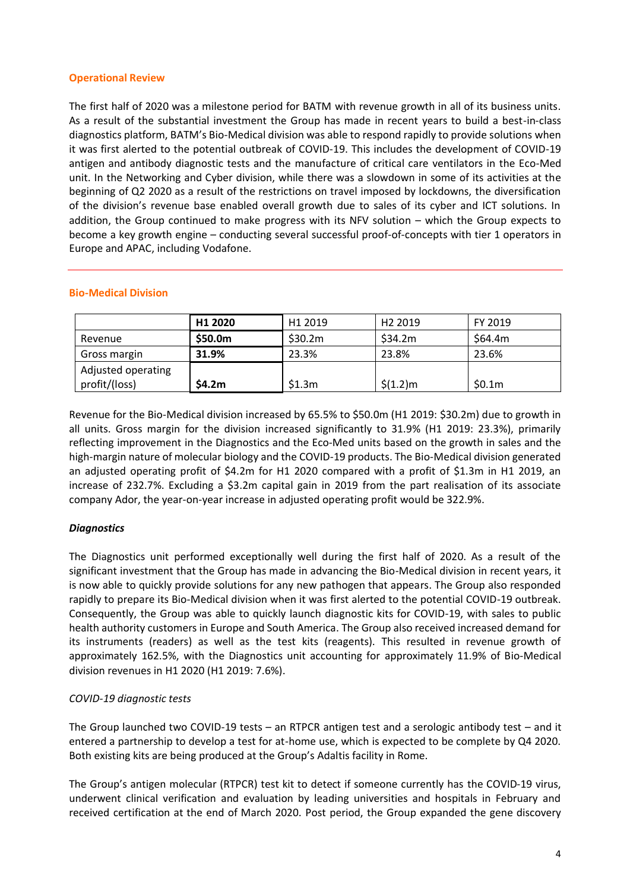### **Operational Review**

The first half of 2020 was a milestone period for BATM with revenue growth in all of its business units. As a result of the substantial investment the Group has made in recent years to build a best-in-class diagnostics platform, BATM's Bio-Medical division was able to respond rapidly to provide solutions when it was first alerted to the potential outbreak of COVID-19. This includes the development of COVID-19 antigen and antibody diagnostic tests and the manufacture of critical care ventilators in the Eco-Med unit. In the Networking and Cyber division, while there was a slowdown in some of its activities at the beginning of Q2 2020 as a result of the restrictions on travel imposed by lockdowns, the diversification of the division's revenue base enabled overall growth due to sales of its cyber and ICT solutions. In addition, the Group continued to make progress with its NFV solution – which the Group expects to become a key growth engine – conducting several successful proof-of-concepts with tier 1 operators in Europe and APAC, including Vodafone.

|                                     | H1 2020 | H <sub>1</sub> 2019 | H <sub>2</sub> 2019 | FY 2019 |
|-------------------------------------|---------|---------------------|---------------------|---------|
| Revenue                             | \$50.0m | \$30.2m\$           | \$34.2m             | \$64.4m |
| Gross margin                        | 31.9%   | 23.3%               | 23.8%               | 23.6%   |
| Adjusted operating<br>profit/(loss) | \$4.2m  | \$1.3m              | $$(1.2)$ m          | \$0.1m  |

### **Bio-Medical Division**

Revenue for the Bio-Medical division increased by 65.5% to \$50.0m (H1 2019: \$30.2m) due to growth in all units. Gross margin for the division increased significantly to 31.9% (H1 2019: 23.3%), primarily reflecting improvement in the Diagnostics and the Eco-Med units based on the growth in sales and the high-margin nature of molecular biology and the COVID-19 products. The Bio-Medical division generated an adjusted operating profit of \$4.2m for H1 2020 compared with a profit of \$1.3m in H1 2019, an increase of 232.7%. Excluding a \$3.2m capital gain in 2019 from the part realisation of its associate company Ador, the year-on-year increase in adjusted operating profit would be 322.9%.

## *Diagnostics*

The Diagnostics unit performed exceptionally well during the first half of 2020. As a result of the significant investment that the Group has made in advancing the Bio-Medical division in recent years, it is now able to quickly provide solutions for any new pathogen that appears. The Group also responded rapidly to prepare its Bio-Medical division when it was first alerted to the potential COVID-19 outbreak. Consequently, the Group was able to quickly launch diagnostic kits for COVID-19, with sales to public health authority customers in Europe and South America. The Group also received increased demand for its instruments (readers) as well as the test kits (reagents). This resulted in revenue growth of approximately 162.5%, with the Diagnostics unit accounting for approximately 11.9% of Bio-Medical division revenues in H1 2020 (H1 2019: 7.6%).

## *COVID-19 diagnostic tests*

The Group launched two COVID-19 tests – an RTPCR antigen test and a serologic antibody test – and it entered a partnership to develop a test for at-home use, which is expected to be complete by Q4 2020. Both existing kits are being produced at the Group's Adaltis facility in Rome.

The Group's antigen molecular (RTPCR) test kit to detect if someone currently has the COVID-19 virus, underwent clinical verification and evaluation by leading universities and hospitals in February and received certification at the end of March 2020. Post period, the Group expanded the gene discovery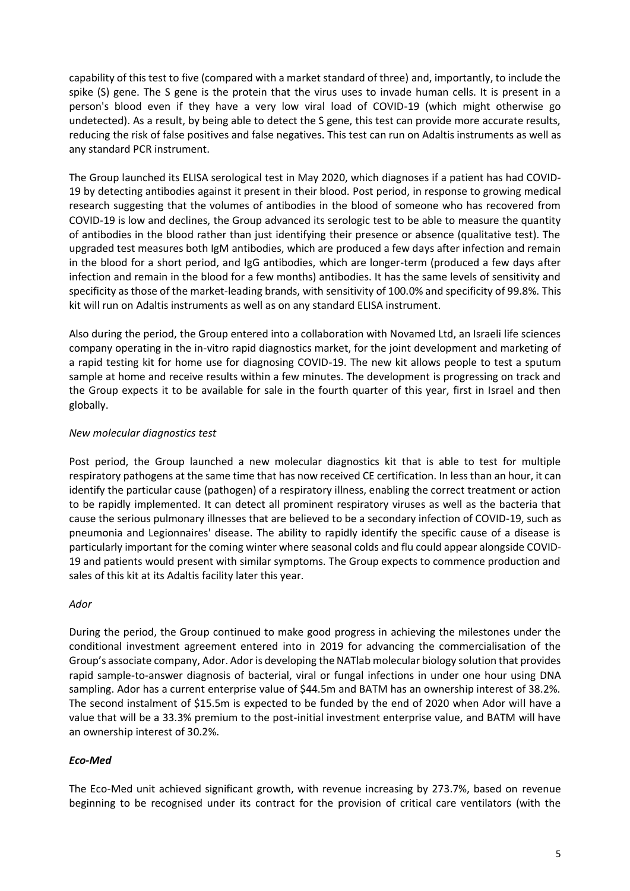capability of this test to five (compared with a market standard of three) and, importantly, to include the spike (S) gene. The S gene is the protein that the virus uses to invade human cells. It is present in a person's blood even if they have a very low viral load of COVID-19 (which might otherwise go undetected). As a result, by being able to detect the S gene, this test can provide more accurate results, reducing the risk of false positives and false negatives. This test can run on Adaltis instruments as well as any standard PCR instrument.

The Group launched its ELISA serological test in May 2020, which diagnoses if a patient has had COVID-19 by detecting antibodies against it present in their blood. Post period, in response to growing medical research suggesting that the volumes of antibodies in the blood of someone who has recovered from COVID-19 is low and declines, the Group advanced its serologic test to be able to measure the quantity of antibodies in the blood rather than just identifying their presence or absence (qualitative test). The upgraded test measures both IgM antibodies, which are produced a few days after infection and remain in the blood for a short period, and IgG antibodies, which are longer-term (produced a few days after infection and remain in the blood for a few months) antibodies. It has the same levels of sensitivity and specificity as those of the market-leading brands, with sensitivity of 100.0% and specificity of 99.8%. This kit will run on Adaltis instruments as well as on any standard ELISA instrument.

Also during the period, the Group entered into a collaboration with Novamed Ltd, an Israeli life sciences company operating in the in-vitro rapid diagnostics market, for the joint development and marketing of a rapid testing kit for home use for diagnosing COVID-19. The new kit allows people to test a sputum sample at home and receive results within a few minutes. The development is progressing on track and the Group expects it to be available for sale in the fourth quarter of this year, first in Israel and then globally.

## *New molecular diagnostics test*

Post period, the Group launched a new molecular diagnostics kit that is able to test for multiple respiratory pathogens at the same time that has now received CE certification. In less than an hour, it can identify the particular cause (pathogen) of a respiratory illness, enabling the correct treatment or action to be rapidly implemented. It can detect all prominent respiratory viruses as well as the bacteria that cause the serious pulmonary illnesses that are believed to be a secondary infection of COVID-19, such as pneumonia and Legionnaires' disease. The ability to rapidly identify the specific cause of a disease is particularly important for the coming winter where seasonal colds and flu could appear alongside COVID-19 and patients would present with similar symptoms. The Group expects to commence production and sales of this kit at its Adaltis facility later this year.

### *Ador*

During the period, the Group continued to make good progress in achieving the milestones under the conditional investment agreement entered into in 2019 for advancing the commercialisation of the Group's associate company, Ador. Ador is developing the NATlab molecular biology solution that provides rapid sample-to-answer diagnosis of bacterial, viral or fungal infections in under one hour using DNA sampling. Ador has a current enterprise value of \$44.5m and BATM has an ownership interest of 38.2%. The second instalment of \$15.5m is expected to be funded by the end of 2020 when Ador will have a value that will be a 33.3% premium to the post-initial investment enterprise value, and BATM will have an ownership interest of 30.2%.

## *Eco-Med*

The Eco-Med unit achieved significant growth, with revenue increasing by 273.7%, based on revenue beginning to be recognised under its contract for the provision of critical care ventilators (with the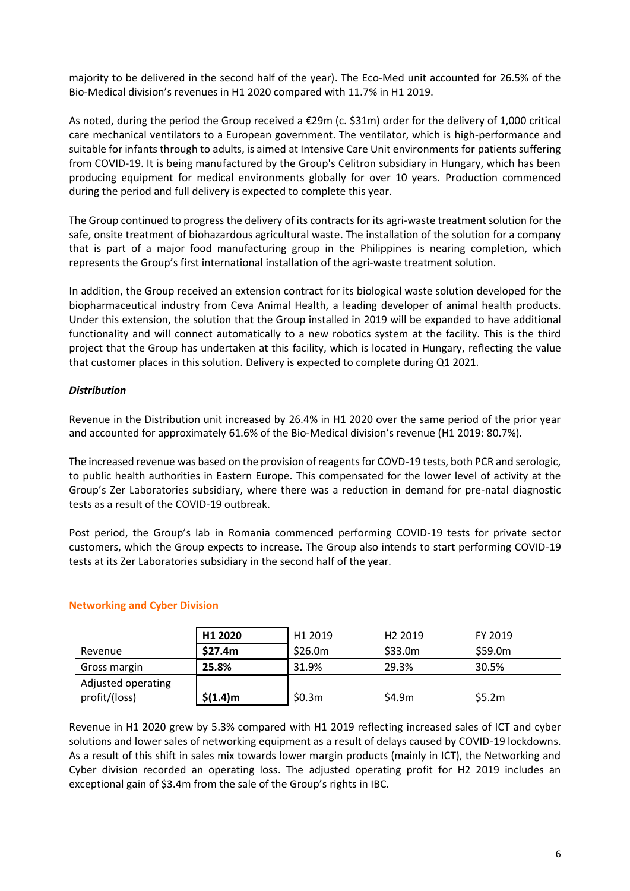majority to be delivered in the second half of the year). The Eco-Med unit accounted for 26.5% of the Bio-Medical division's revenues in H1 2020 compared with 11.7% in H1 2019.

As noted, during the period the Group received a €29m (c. \$31m) order for the delivery of 1,000 critical care mechanical ventilators to a European government. The ventilator, which is high-performance and suitable for infants through to adults, is aimed at Intensive Care Unit environments for patients suffering from COVID-19. It is being manufactured by the Group's Celitron subsidiary in Hungary, which has been producing equipment for medical environments globally for over 10 years. Production commenced during the period and full delivery is expected to complete this year.

The Group continued to progress the delivery of its contracts for its agri-waste treatment solution for the safe, onsite treatment of biohazardous agricultural waste. The installation of the solution for a company that is part of a major food manufacturing group in the Philippines is nearing completion, which represents the Group's first international installation of the agri-waste treatment solution.

In addition, the Group received an extension contract for its biological waste solution developed for the biopharmaceutical industry from Ceva Animal Health, a leading developer of animal health products. Under this extension, the solution that the Group installed in 2019 will be expanded to have additional functionality and will connect automatically to a new robotics system at the facility. This is the third project that the Group has undertaken at this facility, which is located in Hungary, reflecting the value that customer places in this solution. Delivery is expected to complete during Q1 2021.

## *Distribution*

Revenue in the Distribution unit increased by 26.4% in H1 2020 over the same period of the prior year and accounted for approximately 61.6% of the Bio-Medical division's revenue (H1 2019: 80.7%).

The increased revenue was based on the provision of reagents for COVD-19 tests, both PCR and serologic, to public health authorities in Eastern Europe. This compensated for the lower level of activity at the Group's Zer Laboratories subsidiary, where there was a reduction in demand for pre-natal diagnostic tests as a result of the COVID-19 outbreak.

Post period, the Group's lab in Romania commenced performing COVID-19 tests for private sector customers, which the Group expects to increase. The Group also intends to start performing COVID-19 tests at its Zer Laboratories subsidiary in the second half of the year.

|                                     | H1 2020    | H1 2019 | H <sub>2</sub> 2019 | FY 2019 |
|-------------------------------------|------------|---------|---------------------|---------|
| Revenue                             | \$27.4m    | \$26.0m | \$33.0m             | \$59.0m |
| Gross margin                        | 25.8%      | 31.9%   | 29.3%               | 30.5%   |
| Adjusted operating<br>profit/(loss) | \$(1.4)m\$ | \$0.3m  | \$4.9m              | \$5.2m  |

## **Networking and Cyber Division**

Revenue in H1 2020 grew by 5.3% compared with H1 2019 reflecting increased sales of ICT and cyber solutions and lower sales of networking equipment as a result of delays caused by COVID-19 lockdowns. As a result of this shift in sales mix towards lower margin products (mainly in ICT), the Networking and Cyber division recorded an operating loss. The adjusted operating profit for H2 2019 includes an exceptional gain of \$3.4m from the sale of the Group's rights in IBC.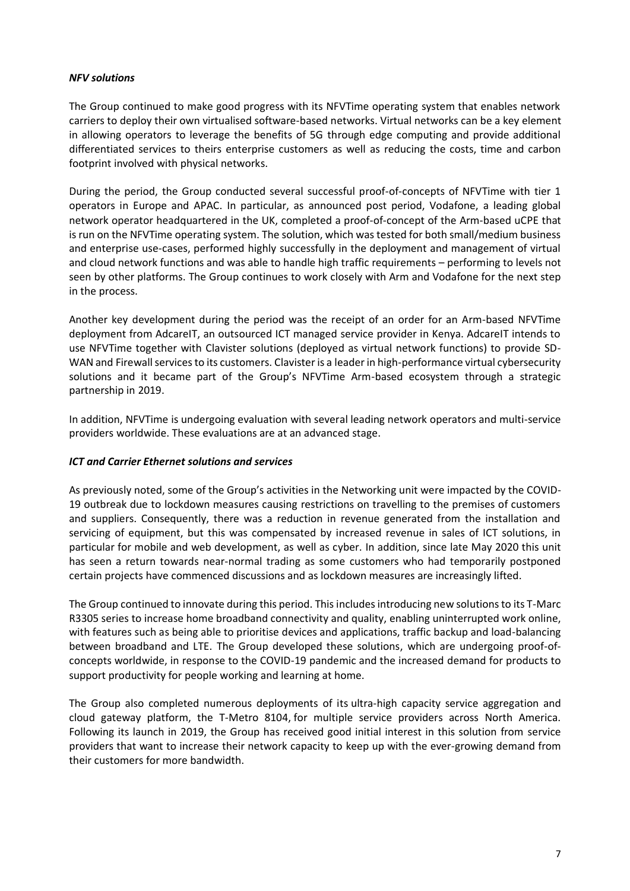### *NFV solutions*

The Group continued to make good progress with its NFVTime operating system that enables network carriers to deploy their own virtualised software-based networks. Virtual networks can be a key element in allowing operators to leverage the benefits of 5G through edge computing and provide additional differentiated services to theirs enterprise customers as well as reducing the costs, time and carbon footprint involved with physical networks.

During the period, the Group conducted several successful proof-of-concepts of NFVTime with tier 1 operators in Europe and APAC. In particular, as announced post period, Vodafone, a leading global network operator headquartered in the UK, completed a proof-of-concept of the Arm-based uCPE that is run on the NFVTime operating system. The solution, which was tested for both small/medium business and enterprise use-cases, performed highly successfully in the deployment and management of virtual and cloud network functions and was able to handle high traffic requirements – performing to levels not seen by other platforms. The Group continues to work closely with Arm and Vodafone for the next step in the process.

Another key development during the period was the receipt of an order for an Arm-based NFVTime deployment from AdcareIT, an outsourced ICT managed service provider in Kenya. AdcareIT intends to use NFVTime together with Clavister solutions (deployed as virtual network functions) to provide SD-WAN and Firewall services to its customers. Clavister is a leader in high-performance virtual cybersecurity solutions and it became part of the Group's NFVTime Arm-based ecosystem through a strategic partnership in 2019.

In addition, NFVTime is undergoing evaluation with several leading network operators and multi-service providers worldwide. These evaluations are at an advanced stage.

### *ICT and Carrier Ethernet solutions and services*

As previously noted, some of the Group's activities in the Networking unit were impacted by the COVID-19 outbreak due to lockdown measures causing restrictions on travelling to the premises of customers and suppliers. Consequently, there was a reduction in revenue generated from the installation and servicing of equipment, but this was compensated by increased revenue in sales of ICT solutions, in particular for mobile and web development, as well as cyber. In addition, since late May 2020 this unit has seen a return towards near-normal trading as some customers who had temporarily postponed certain projects have commenced discussions and as lockdown measures are increasingly lifted.

The Group continued to innovate during this period. This includes introducing new solutions to its T-Marc R3305 series to increase home broadband connectivity and quality, enabling uninterrupted work online, with features such as being able to prioritise devices and applications, traffic backup and load-balancing between broadband and LTE. The Group developed these solutions, which are undergoing proof-ofconcepts worldwide, in response to the COVID-19 pandemic and the increased demand for products to support productivity for people working and learning at home.

The Group also completed numerous deployments of its ultra-high capacity service aggregation and cloud gateway platform, the T-Metro 8104, for multiple service providers across North America. Following its launch in 2019, the Group has received good initial interest in this solution from service providers that want to increase their network capacity to keep up with the ever-growing demand from their customers for more bandwidth.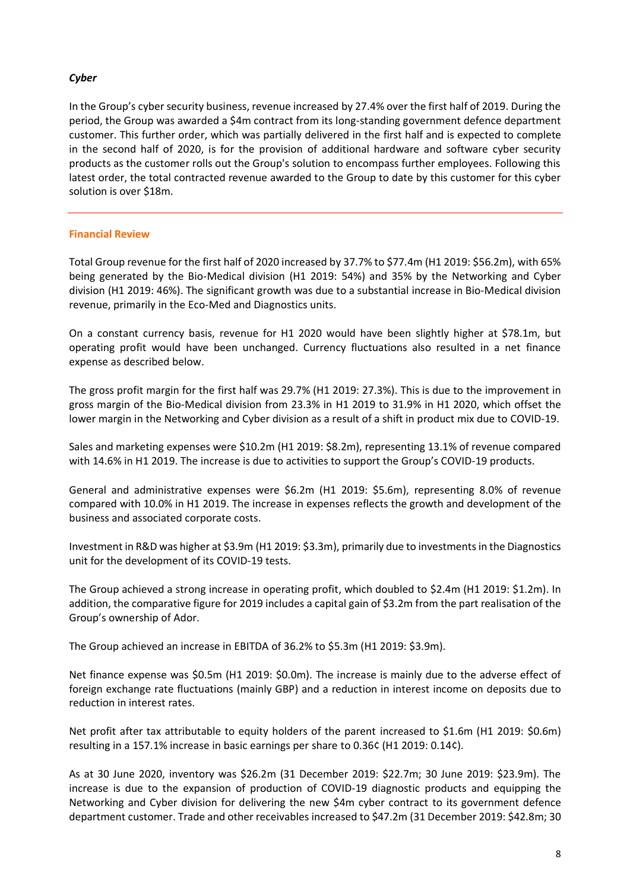### *Cyber*

In the Group's cyber security business, revenue increased by 27.4% over the first half of 2019. During the period, the Group was awarded a \$4m contract from its long-standing government defence department customer. This further order, which was partially delivered in the first half and is expected to complete in the second half of 2020, is for the provision of additional hardware and software cyber security products as the customer rolls out the Group's solution to encompass further employees. Following this latest order, the total contracted revenue awarded to the Group to date by this customer for this cyber solution is over \$18m.

### **Financial Review**

Total Group revenue for the first half of 2020 increased by 37.7% to \$77.4m (H1 2019: \$56.2m), with 65% being generated by the Bio-Medical division (H1 2019: 54%) and 35% by the Networking and Cyber division (H1 2019: 46%). The significant growth was due to a substantial increase in Bio-Medical division revenue, primarily in the Eco-Med and Diagnostics units.

On a constant currency basis, revenue for H1 2020 would have been slightly higher at \$78.1m, but operating profit would have been unchanged. Currency fluctuations also resulted in a net finance expense as described below.

The gross profit margin for the first half was 29.7% (H1 2019: 27.3%). This is due to the improvement in gross margin of the Bio-Medical division from 23.3% in H1 2019 to 31.9% in H1 2020, which offset the lower margin in the Networking and Cyber division as a result of a shift in product mix due to COVID-19.

Sales and marketing expenses were \$10.2m (H1 2019: \$8.2m), representing 13.1% of revenue compared with 14.6% in H1 2019. The increase is due to activities to support the Group's COVID-19 products.

General and administrative expenses were \$6.2m (H1 2019: \$5.6m), representing 8.0% of revenue compared with 10.0% in H1 2019. The increase in expenses reflects the growth and development of the business and associated corporate costs.

Investment in R&D was higher at \$3.9m (H1 2019: \$3.3m), primarily due to investmentsin the Diagnostics unit for the development of its COVID-19 tests.

The Group achieved a strong increase in operating profit, which doubled to \$2.4m (H1 2019: \$1.2m). In addition, the comparative figure for 2019 includes a capital gain of \$3.2m from the part realisation of the Group's ownership of Ador.

The Group achieved an increase in EBITDA of 36.2% to \$5.3m (H1 2019: \$3.9m).

Net finance expense was \$0.5m (H1 2019: \$0.0m). The increase is mainly due to the adverse effect of foreign exchange rate fluctuations (mainly GBP) and a reduction in interest income on deposits due to reduction in interest rates.

Net profit after tax attributable to equity holders of the parent increased to \$1.6m (H1 2019: \$0.6m) resulting in a 157.1% increase in basic earnings per share to 0.36¢ (H1 2019: 0.14¢).

As at 30 June 2020, inventory was \$26.2m (31 December 2019: \$22.7m; 30 June 2019: \$23.9m). The increase is due to the expansion of production of COVID-19 diagnostic products and equipping the Networking and Cyber division for delivering the new \$4m cyber contract to its government defence department customer. Trade and other receivables increased to \$47.2m (31 December 2019: \$42.8m; 30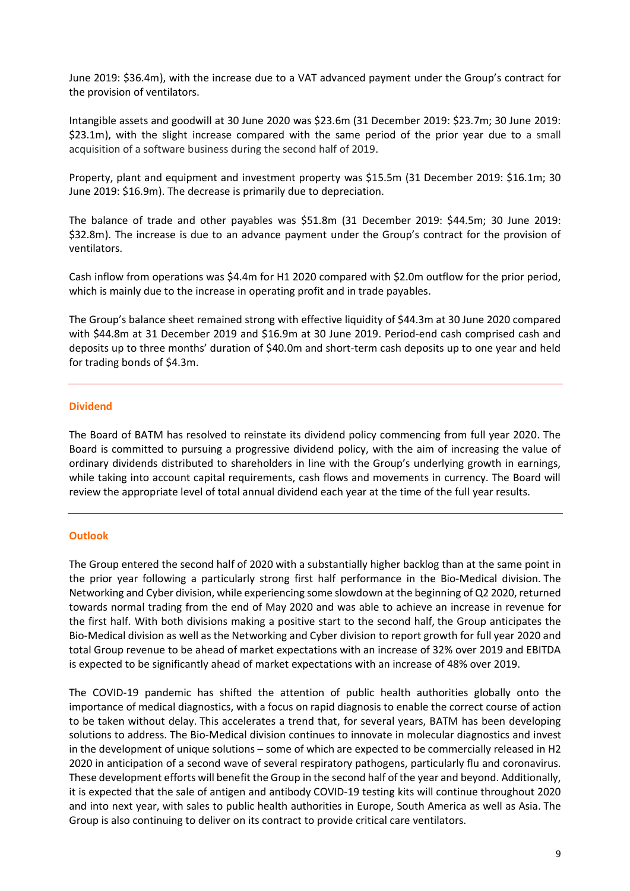June 2019: \$36.4m), with the increase due to a VAT advanced payment under the Group's contract for the provision of ventilators.

Intangible assets and goodwill at 30 June 2020 was \$23.6m (31 December 2019: \$23.7m; 30 June 2019: \$23.1m), with the slight increase compared with the same period of the prior year due to a small acquisition of a software business during the second half of 2019.

Property, plant and equipment and investment property was \$15.5m (31 December 2019: \$16.1m; 30 June 2019: \$16.9m). The decrease is primarily due to depreciation.

The balance of trade and other payables was \$51.8m (31 December 2019: \$44.5m; 30 June 2019: \$32.8m). The increase is due to an advance payment under the Group's contract for the provision of ventilators.

Cash inflow from operations was \$4.4m for H1 2020 compared with \$2.0m outflow for the prior period, which is mainly due to the increase in operating profit and in trade payables.

The Group's balance sheet remained strong with effective liquidity of \$44.3m at 30 June 2020 compared with \$44.8m at 31 December 2019 and \$16.9m at 30 June 2019. Period-end cash comprised cash and deposits up to three months' duration of \$40.0m and short-term cash deposits up to one year and held for trading bonds of \$4.3m.

### **Dividend**

The Board of BATM has resolved to reinstate its dividend policy commencing from full year 2020. The Board is committed to pursuing a progressive dividend policy, with the aim of increasing the value of ordinary dividends distributed to shareholders in line with the Group's underlying growth in earnings, while taking into account capital requirements, cash flows and movements in currency. The Board will review the appropriate level of total annual dividend each year at the time of the full year results.

#### **Outlook**

The Group entered the second half of 2020 with a substantially higher backlog than at the same point in the prior year following a particularly strong first half performance in the Bio-Medical division. The Networking and Cyber division, while experiencing some slowdown at the beginning of Q2 2020, returned towards normal trading from the end of May 2020 and was able to achieve an increase in revenue for the first half. With both divisions making a positive start to the second half, the Group anticipates the Bio-Medical division as well as the Networking and Cyber division to report growth for full year 2020 and total Group revenue to be ahead of market expectations with an increase of 32% over 2019 and EBITDA is expected to be significantly ahead of market expectations with an increase of 48% over 2019.

The COVID-19 pandemic has shifted the attention of public health authorities globally onto the importance of medical diagnostics, with a focus on rapid diagnosis to enable the correct course of action to be taken without delay. This accelerates a trend that, for several years, BATM has been developing solutions to address. The Bio-Medical division continues to innovate in molecular diagnostics and invest in the development of unique solutions – some of which are expected to be commercially released in H2 2020 in anticipation of a second wave of several respiratory pathogens, particularly flu and coronavirus. These development efforts will benefit the Group in the second half of the year and beyond. Additionally, it is expected that the sale of antigen and antibody COVID-19 testing kits will continue throughout 2020 and into next year, with sales to public health authorities in Europe, South America as well as Asia. The Group is also continuing to deliver on its contract to provide critical care ventilators.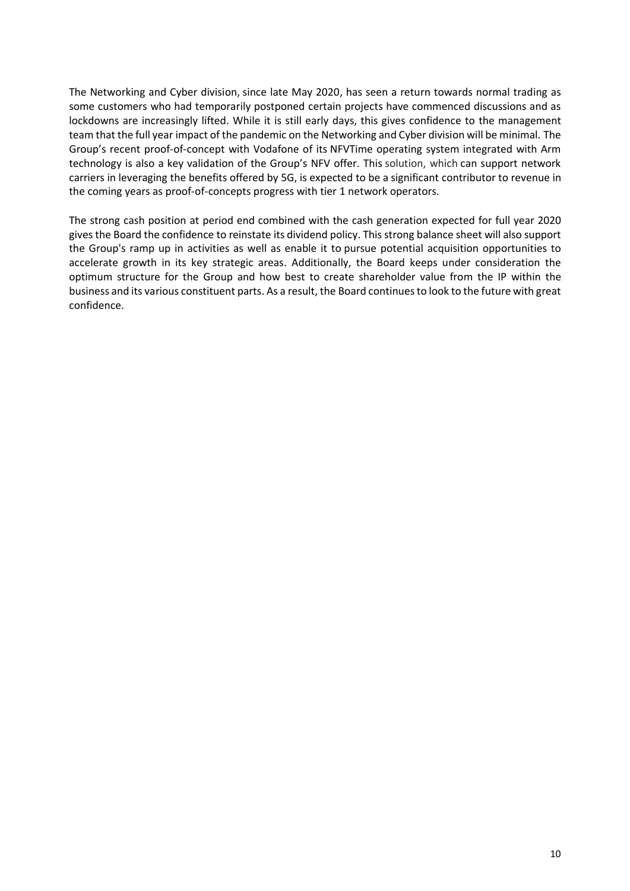The Networking and Cyber division, since late May 2020, has seen a return towards normal trading as some customers who had temporarily postponed certain projects have commenced discussions and as lockdowns are increasingly lifted. While it is still early days, this gives confidence to the management team that the full year impact of the pandemic on the Networking and Cyber division will be minimal. The Group's recent proof-of-concept with Vodafone of its NFVTime operating system integrated with Arm technology is also a key validation of the Group's NFV offer. This solution, which can support network carriers in leveraging the benefits offered by 5G, is expected to be a significant contributor to revenue in the coming years as proof-of-concepts progress with tier 1 network operators.

The strong cash position at period end combined with the cash generation expected for full year 2020 gives the Board the confidence to reinstate its dividend policy. This strong balance sheet will also support the Group's ramp up in activities as well as enable it to pursue potential acquisition opportunities to accelerate growth in its key strategic areas. Additionally, the Board keeps under consideration the optimum structure for the Group and how best to create shareholder value from the IP within the business and its various constituent parts. As a result, the Board continuesto look to the future with great confidence.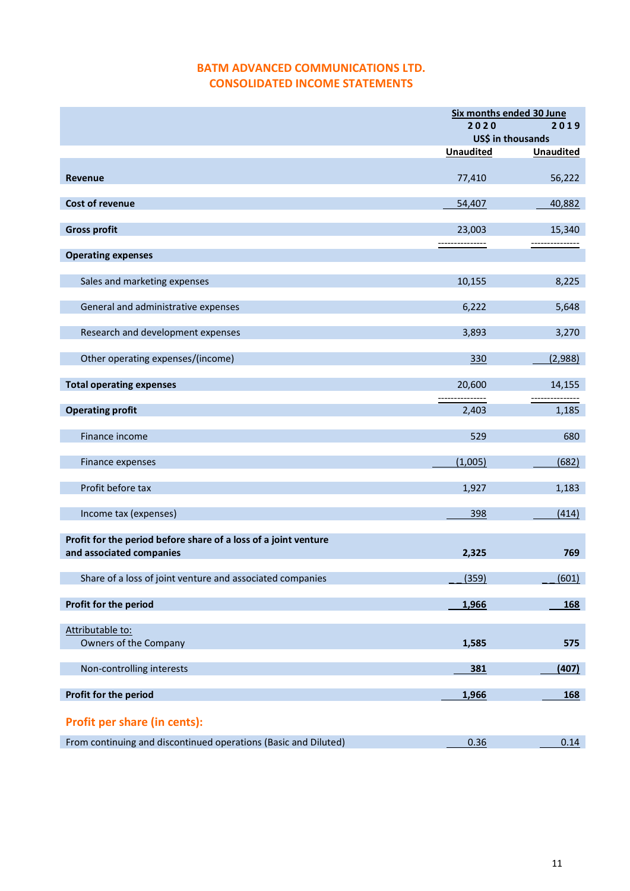# **BATM ADVANCED COMMUNICATIONS LTD. CONSOLIDATED INCOME STATEMENTS**

|                                                                 | Six months ended 30 June |                  |  |
|-----------------------------------------------------------------|--------------------------|------------------|--|
|                                                                 | 2020                     | 2019             |  |
|                                                                 | US\$ in thousands        |                  |  |
|                                                                 | <b>Unaudited</b>         | <b>Unaudited</b> |  |
| <b>Revenue</b>                                                  | 77,410                   | 56,222           |  |
| <b>Cost of revenue</b>                                          | 54,407                   | 40,882           |  |
| <b>Gross profit</b>                                             | 23,003                   | 15,340           |  |
|                                                                 | ---------------          | --------------   |  |
| <b>Operating expenses</b>                                       |                          |                  |  |
|                                                                 |                          |                  |  |
| Sales and marketing expenses                                    | 10,155                   | 8,225            |  |
| General and administrative expenses                             | 6,222                    | 5,648            |  |
| Research and development expenses                               | 3,893                    | 3,270            |  |
|                                                                 |                          |                  |  |
| Other operating expenses/(income)                               | 330                      | (2,988)          |  |
| <b>Total operating expenses</b>                                 | 20,600                   | 14,155           |  |
|                                                                 |                          | -----------      |  |
| <b>Operating profit</b>                                         | 2,403                    | 1,185            |  |
| Finance income                                                  | 529                      | 680              |  |
| Finance expenses                                                | (1,005)                  | (682)            |  |
|                                                                 |                          |                  |  |
| Profit before tax                                               | 1,927                    | 1,183            |  |
| Income tax (expenses)                                           | 398                      | (414)            |  |
|                                                                 |                          |                  |  |
| Profit for the period before share of a loss of a joint venture |                          |                  |  |
| and associated companies                                        | 2,325                    | 769              |  |
| Share of a loss of joint venture and associated companies       | (359)                    | (601)            |  |
|                                                                 |                          |                  |  |
| Profit for the period                                           | 1,966                    | 168              |  |
| Attributable to:                                                |                          |                  |  |
| Owners of the Company                                           | 1,585                    | 575              |  |
|                                                                 |                          |                  |  |
| Non-controlling interests                                       | 381                      | (407)            |  |
| Profit for the period                                           | 1,966                    | 168              |  |
|                                                                 |                          |                  |  |
| Profit per share (in cents):                                    |                          |                  |  |
| From continuing and discontinued operations (Basic and Diluted) | 0.36                     | 0.14             |  |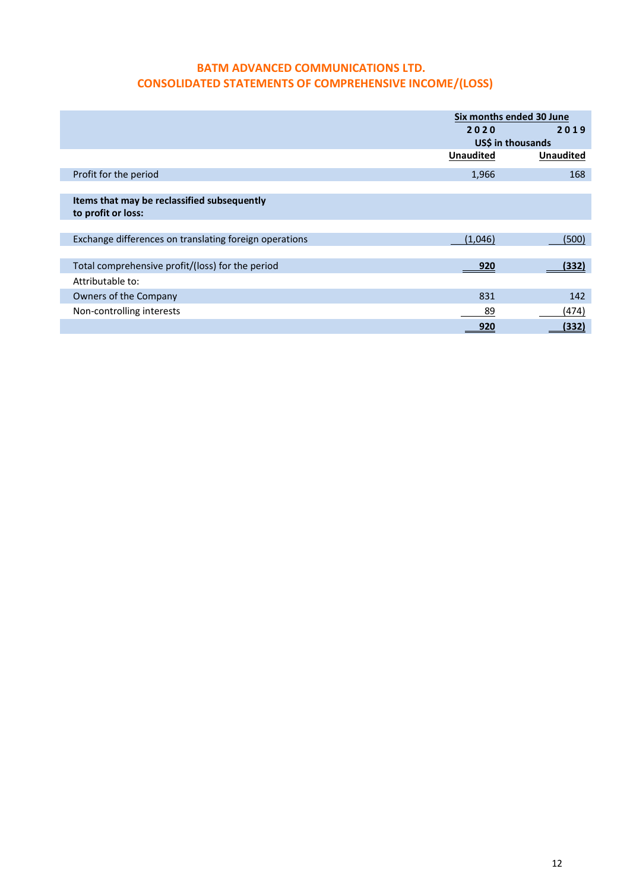# **BATM ADVANCED COMMUNICATIONS LTD. CONSOLIDATED STATEMENTS OF COMPREHENSIVE INCOME/(LOSS)**

|                                                        |                  | Six months ended 30 June |
|--------------------------------------------------------|------------------|--------------------------|
|                                                        | 2020             | 2019                     |
|                                                        |                  | US\$ in thousands        |
|                                                        | <b>Unaudited</b> | <b>Unaudited</b>         |
| Profit for the period                                  | 1,966            | 168                      |
|                                                        |                  |                          |
| Items that may be reclassified subsequently            |                  |                          |
| to profit or loss:                                     |                  |                          |
|                                                        |                  |                          |
| Exchange differences on translating foreign operations | (1,046)          | (500)                    |
|                                                        |                  |                          |
| Total comprehensive profit/(loss) for the period       | 920              | (332)                    |
| Attributable to:                                       |                  |                          |
| Owners of the Company                                  | 831              | 142                      |
| Non-controlling interests                              | 89               | (474)                    |
|                                                        | 920              | (332)                    |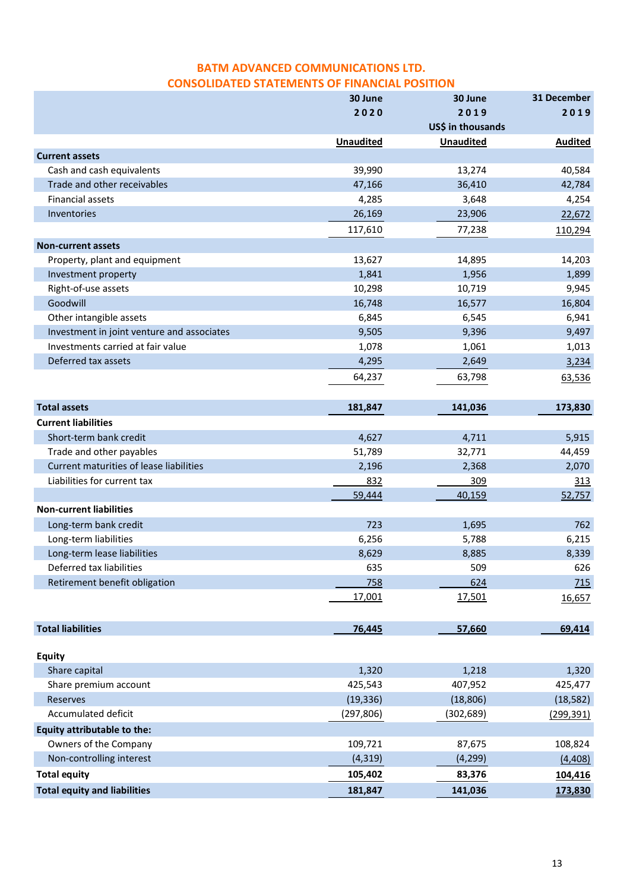# **BATM ADVANCED COMMUNICATIONS LTD. CONSOLIDATED STATEMENTS OF FINANCIAL POSITION**

|                                            | 30 June          | 30 June           | 31 December    |
|--------------------------------------------|------------------|-------------------|----------------|
|                                            | 2020             | 2019              | 2019           |
|                                            |                  | US\$ in thousands |                |
|                                            | <b>Unaudited</b> | <b>Unaudited</b>  | <b>Audited</b> |
| <b>Current assets</b>                      |                  |                   |                |
| Cash and cash equivalents                  | 39,990           | 13,274            | 40,584         |
| Trade and other receivables                | 47,166           | 36,410            | 42,784         |
| <b>Financial assets</b>                    | 4,285            | 3,648             | 4,254          |
| Inventories                                | 26,169           | 23,906            | 22,672         |
|                                            | 117,610          | 77,238            | 110,294        |
| <b>Non-current assets</b>                  |                  |                   |                |
| Property, plant and equipment              | 13,627           | 14,895            | 14,203         |
| Investment property                        | 1,841            | 1,956             | 1,899          |
| Right-of-use assets                        | 10,298           | 10,719            | 9,945          |
| Goodwill                                   | 16,748           | 16,577            | 16,804         |
| Other intangible assets                    | 6,845            | 6,545             | 6,941          |
| Investment in joint venture and associates | 9,505            | 9,396             | 9,497          |
| Investments carried at fair value          | 1,078            | 1,061             | 1,013          |
| Deferred tax assets                        | 4,295            | 2,649             | 3,234          |
|                                            | 64,237           | 63,798            | 63,536         |
|                                            |                  |                   |                |
| <b>Total assets</b>                        | 181,847          | 141,036           | 173,830        |
| <b>Current liabilities</b>                 |                  |                   |                |
| Short-term bank credit                     | 4,627            | 4,711             | 5,915          |
| Trade and other payables                   | 51,789           | 32,771            | 44,459         |
| Current maturities of lease liabilities    | 2,196            | 2,368             | 2,070          |
| Liabilities for current tax                | 832              | 309               | <u>313</u>     |
|                                            | 59,444           | 40,159            | 52,757         |
| <b>Non-current liabilities</b>             |                  |                   |                |
| Long-term bank credit                      | 723              | 1,695             | 762            |
| Long-term liabilities                      | 6,256            | 5,788             | 6,215          |
| Long-term lease liabilities                | 8,629            | 8,885             | 8,339          |
| Deferred tax liabilities                   | 635              | 509               | 626            |
| Retirement benefit obligation              | 758              | 624               | 715            |
|                                            | 17,001           | 17,501            | 16,657         |
|                                            |                  |                   |                |
| <b>Total liabilities</b>                   | 76,445           | 57,660            | 69,414         |
|                                            |                  |                   |                |
| <b>Equity</b>                              |                  |                   |                |
| Share capital                              | 1,320            | 1,218             | 1,320          |
| Share premium account                      | 425,543          | 407,952           | 425,477        |
| Reserves                                   | (19, 336)        | (18, 806)         | (18, 582)      |
| Accumulated deficit                        | (297, 806)       | (302,689)         | (299, 391)     |
| <b>Equity attributable to the:</b>         |                  |                   |                |
| Owners of the Company                      | 109,721          | 87,675            | 108,824        |
| Non-controlling interest                   | (4, 319)         | (4, 299)          | (4, 408)       |
| <b>Total equity</b>                        | 105,402          | 83,376            | 104,416        |
| <b>Total equity and liabilities</b>        | 181,847          | 141,036           | 173,830        |
|                                            |                  |                   |                |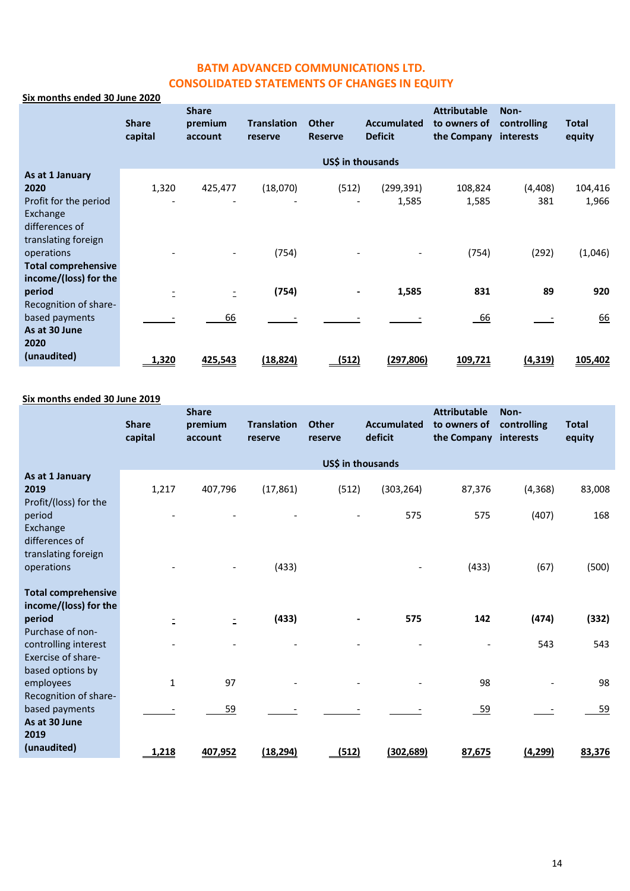# **BATM ADVANCED COMMUNICATIONS LTD. CONSOLIDATED STATEMENTS OF CHANGES IN EQUITY**

### **Six months ended 30 June 2020**

|                            | <b>Share</b><br>capital | <b>Share</b><br>premium<br>account | <b>Translation</b><br>reserve | <b>Other</b><br><b>Reserve</b> | <b>Accumulated</b><br><b>Deficit</b> | <b>Attributable</b><br>to owners of<br>the Company | Non-<br>controlling<br>interests | <b>Total</b><br>equity |
|----------------------------|-------------------------|------------------------------------|-------------------------------|--------------------------------|--------------------------------------|----------------------------------------------------|----------------------------------|------------------------|
|                            |                         |                                    |                               | US\$ in thousands              |                                      |                                                    |                                  |                        |
| As at 1 January            |                         |                                    |                               |                                |                                      |                                                    |                                  |                        |
| 2020                       | 1,320                   | 425,477                            | (18,070)                      | (512)                          | (299, 391)                           | 108,824                                            | (4, 408)                         | 104,416                |
| Profit for the period      |                         |                                    |                               |                                | 1,585                                | 1,585                                              | 381                              | 1,966                  |
| Exchange                   |                         |                                    |                               |                                |                                      |                                                    |                                  |                        |
| differences of             |                         |                                    |                               |                                |                                      |                                                    |                                  |                        |
| translating foreign        |                         |                                    |                               |                                |                                      |                                                    |                                  |                        |
| operations                 |                         |                                    | (754)                         |                                |                                      | (754)                                              | (292)                            | (1,046)                |
| <b>Total comprehensive</b> |                         |                                    |                               |                                |                                      |                                                    |                                  |                        |
| income/(loss) for the      |                         |                                    |                               |                                |                                      |                                                    |                                  |                        |
| period                     |                         | $\overline{a}$                     | (754)                         | $\overline{\phantom{a}}$       | 1,585                                | 831                                                | 89                               | 920                    |
| Recognition of share-      |                         |                                    |                               |                                |                                      |                                                    |                                  |                        |
| based payments             |                         | 66                                 |                               |                                |                                      | $-66$                                              |                                  | 66                     |
| As at 30 June              |                         |                                    |                               |                                |                                      |                                                    |                                  |                        |
| 2020                       |                         |                                    |                               |                                |                                      |                                                    |                                  |                        |
| (unaudited)                | 1,320                   | 425,543                            | <u>(18,824)</u>               | <u>(512)</u>                   | <u>(297,806)</u>                     | <u>109,721</u>                                     | (4,319)                          | 105,402                |

#### **Six months ended 30 June 2019**

|                                                        | <b>Share</b><br>capital | <b>Share</b><br>premium<br>account | <b>Translation</b><br>reserve | <b>Other</b><br>reserve | Accumulated<br>deficit | <b>Attributable</b><br>to owners of<br>the Company | Non-<br>controlling<br>interests | <b>Total</b><br>equity |
|--------------------------------------------------------|-------------------------|------------------------------------|-------------------------------|-------------------------|------------------------|----------------------------------------------------|----------------------------------|------------------------|
|                                                        |                         |                                    |                               | US\$ in thousands       |                        |                                                    |                                  |                        |
| As at 1 January<br>2019<br>Profit/(loss) for the       | 1,217                   | 407,796                            | (17, 861)                     | (512)                   | (303, 264)             | 87,376                                             | (4, 368)                         | 83,008                 |
| period<br>Exchange<br>differences of                   |                         |                                    |                               |                         | 575                    | 575                                                | (407)                            | 168                    |
| translating foreign<br>operations                      |                         |                                    | (433)                         |                         |                        | (433)                                              | (67)                             | (500)                  |
| <b>Total comprehensive</b><br>income/(loss) for the    |                         |                                    |                               |                         |                        |                                                    |                                  |                        |
| period<br>Purchase of non-                             | Ē                       | Ξ.                                 | (433)                         |                         | 575                    | 142                                                | (474)                            | (332)                  |
| controlling interest<br>Exercise of share-             |                         |                                    |                               |                         |                        |                                                    | 543                              | 543                    |
| based options by<br>employees<br>Recognition of share- | $\mathbf{1}$            | 97                                 |                               |                         |                        | 98                                                 |                                  | 98                     |
| based payments<br>As at 30 June                        |                         | 59                                 |                               |                         |                        | $-59$                                              |                                  | 59                     |
| 2019<br>(unaudited)                                    | 1,218                   | 407,952                            | <u>(18,294)</u>               | <u>(512)</u>            | (302, 689)             | 87,675                                             | <u>(4,299)</u>                   | 83,376                 |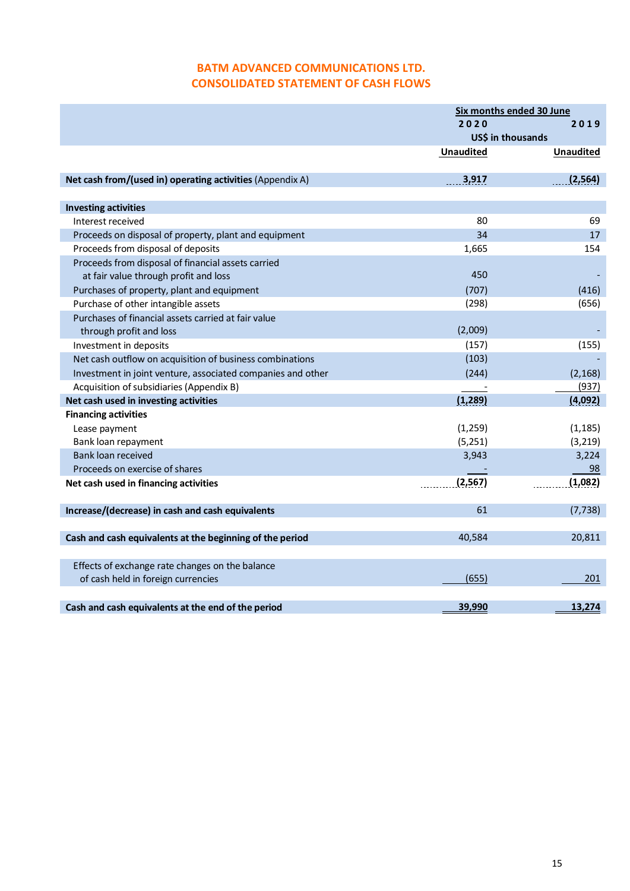# **BATM ADVANCED COMMUNICATIONS LTD. CONSOLIDATED STATEMENT OF CASH FLOWS**

|                                                             | Six months ended 30 June |                   |  |
|-------------------------------------------------------------|--------------------------|-------------------|--|
|                                                             | 2020                     | 2019              |  |
|                                                             |                          | US\$ in thousands |  |
|                                                             | <b>Unaudited</b>         | <b>Unaudited</b>  |  |
|                                                             |                          |                   |  |
| Net cash from/(used in) operating activities (Appendix A)   | 3,917                    | (2, 564)          |  |
| <b>Investing activities</b>                                 |                          |                   |  |
| Interest received                                           | 80                       | 69                |  |
| Proceeds on disposal of property, plant and equipment       | 34                       | 17                |  |
| Proceeds from disposal of deposits                          | 1,665                    | 154               |  |
| Proceeds from disposal of financial assets carried          |                          |                   |  |
| at fair value through profit and loss                       | 450                      |                   |  |
| Purchases of property, plant and equipment                  | (707)                    | (416)             |  |
| Purchase of other intangible assets                         | (298)                    | (656)             |  |
| Purchases of financial assets carried at fair value         |                          |                   |  |
| through profit and loss                                     | (2,009)                  |                   |  |
| Investment in deposits                                      | (157)                    | (155)             |  |
|                                                             | (103)                    |                   |  |
| Net cash outflow on acquisition of business combinations    |                          |                   |  |
| Investment in joint venture, associated companies and other | (244)                    | (2, 168)          |  |
| Acquisition of subsidiaries (Appendix B)                    |                          | (937)             |  |
| Net cash used in investing activities                       | (1, 289)                 | (4,092)           |  |
| <b>Financing activities</b>                                 |                          |                   |  |
| Lease payment                                               | (1, 259)                 | (1, 185)          |  |
| Bank loan repayment                                         | (5,251)                  | (3, 219)          |  |
| Bank loan received                                          | 3,943                    | 3,224             |  |
| Proceeds on exercise of shares                              |                          | 98                |  |
| Net cash used in financing activities                       | (2, 567)                 | (1,082)           |  |
| Increase/(decrease) in cash and cash equivalents            | 61                       | (7, 738)          |  |
|                                                             |                          |                   |  |
| Cash and cash equivalents at the beginning of the period    | 40,584                   | 20,811            |  |
|                                                             |                          |                   |  |
| Effects of exchange rate changes on the balance             |                          |                   |  |
| of cash held in foreign currencies                          | (655)                    | 201               |  |
|                                                             |                          |                   |  |
| Cash and cash equivalents at the end of the period          | 39,990                   | 13,274            |  |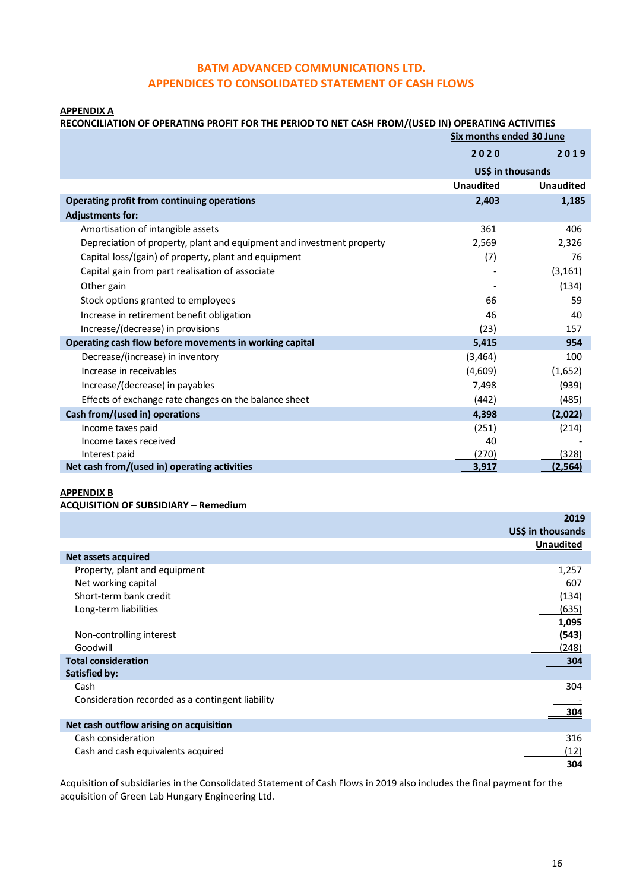## **BATM ADVANCED COMMUNICATIONS LTD. APPENDICES TO CONSOLIDATED STATEMENT OF CASH FLOWS**

#### **APPENDIX A**

# **RECONCILIATION OF OPERATING PROFIT FOR THE PERIOD TO NET CASH FROM/(USED IN) OPERATING ACTIVITIES**

|                                                                       | Six months ended 30 June |                  |
|-----------------------------------------------------------------------|--------------------------|------------------|
|                                                                       | 2020                     | 2019             |
|                                                                       | USS in thousands         |                  |
|                                                                       | <b>Unaudited</b>         | <b>Unaudited</b> |
| Operating profit from continuing operations                           | 2,403                    | 1,185            |
| <b>Adjustments for:</b>                                               |                          |                  |
| Amortisation of intangible assets                                     | 361                      | 406              |
| Depreciation of property, plant and equipment and investment property | 2,569                    | 2,326            |
| Capital loss/(gain) of property, plant and equipment                  | (7)                      | 76               |
| Capital gain from part realisation of associate                       |                          | (3, 161)         |
| Other gain                                                            |                          | (134)            |
| Stock options granted to employees                                    | 66                       | 59               |
| Increase in retirement benefit obligation                             | 46                       | 40               |
| Increase/(decrease) in provisions                                     | (23)                     | 157              |
| Operating cash flow before movements in working capital               | 5,415                    | 954              |
| Decrease/(increase) in inventory                                      | (3, 464)                 | 100              |
| Increase in receivables                                               | (4,609)                  | (1,652)          |
| Increase/(decrease) in payables                                       | 7,498                    | (939)            |
| Effects of exchange rate changes on the balance sheet                 | (442)                    | (485)            |
| Cash from/(used in) operations                                        | 4,398                    | (2,022)          |
| Income taxes paid                                                     | (251)                    | (214)            |
| Income taxes received                                                 | 40                       |                  |
| Interest paid                                                         | (270)                    | (328)            |
| Net cash from/(used in) operating activities                          | 3,917                    | (2, 564)         |

### **APPENDIX B**

#### **ACQUISITION OF SUBSIDIARY – Remedium**

|                                                  | 2019              |
|--------------------------------------------------|-------------------|
|                                                  | US\$ in thousands |
|                                                  | <b>Unaudited</b>  |
| Net assets acquired                              |                   |
| Property, plant and equipment                    | 1,257             |
| Net working capital                              | 607               |
| Short-term bank credit                           | (134)             |
| Long-term liabilities                            | (635)             |
|                                                  | 1,095             |
| Non-controlling interest                         | (543)             |
| Goodwill                                         | (248)             |
| <b>Total consideration</b>                       | 304               |
| <b>Satisfied by:</b>                             |                   |
| Cash                                             | 304               |
| Consideration recorded as a contingent liability |                   |
|                                                  | 304               |
| Net cash outflow arising on acquisition          |                   |
| Cash consideration                               | 316               |
| Cash and cash equivalents acquired               | (12)              |
|                                                  | 304               |

Acquisition of subsidiaries in the Consolidated Statement of Cash Flows in 2019 also includes the final payment for the acquisition of Green Lab Hungary Engineering Ltd.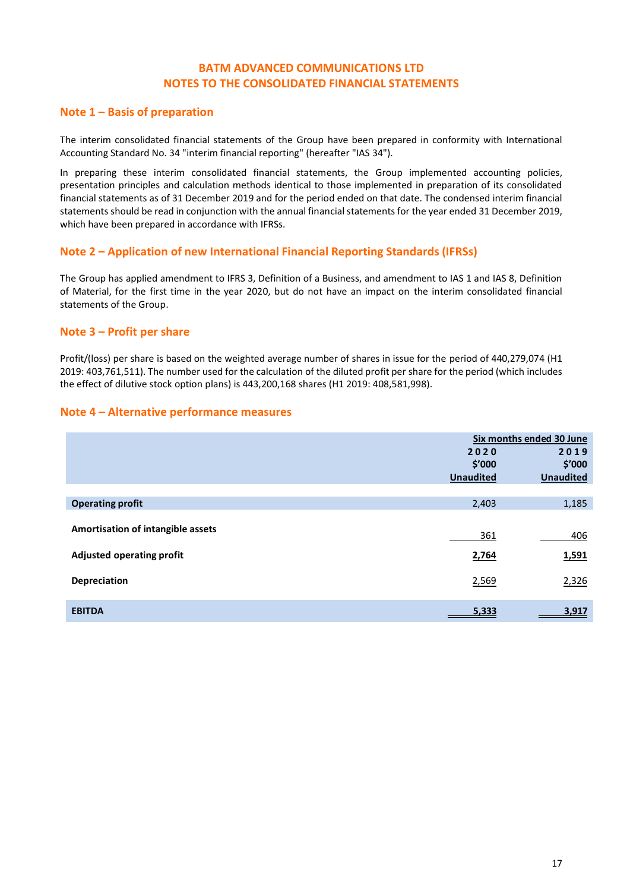## **BATM ADVANCED COMMUNICATIONS LTD NOTES TO THE CONSOLIDATED FINANCIAL STATEMENTS**

### **Note 1 – Basis of preparation**

The interim consolidated financial statements of the Group have been prepared in conformity with International Accounting Standard No. 34 "interim financial reporting" (hereafter "IAS 34").

In preparing these interim consolidated financial statements, the Group implemented accounting policies, presentation principles and calculation methods identical to those implemented in preparation of its consolidated financial statements as of 31 December 2019 and for the period ended on that date. The condensed interim financial statements should be read in conjunction with the annual financial statements for the year ended 31 December 2019, which have been prepared in accordance with IFRSs.

### **Note 2 – Application of new International Financial Reporting Standards (IFRSs)**

The Group has applied amendment to IFRS 3, Definition of a Business, and amendment to IAS 1 and IAS 8, Definition of Material, for the first time in the year 2020, but do not have an impact on the interim consolidated financial statements of the Group.

### **Note 3 – Profit per share**

Profit/(loss) per share is based on the weighted average number of shares in issue for the period of 440,279,074 (H1 2019: 403,761,511). The number used for the calculation of the diluted profit per share for the period (which includes the effect of dilutive stock option plans) is 443,200,168 shares (H1 2019: 408,581,998).

### **Note 4 – Alternative performance measures**

|                                                                       | 2020<br>\$'000<br><b>Unaudited</b> | Six months ended 30 June<br>2019<br>\$′000<br><b>Unaudited</b> |
|-----------------------------------------------------------------------|------------------------------------|----------------------------------------------------------------|
| <b>Operating profit</b>                                               | 2,403                              | 1,185                                                          |
| Amortisation of intangible assets<br><b>Adjusted operating profit</b> | 361<br>2,764                       | 406<br>1,591                                                   |
| <b>Depreciation</b>                                                   | 2,569                              | 2,326                                                          |
| <b>EBITDA</b>                                                         | 5,333                              | 3,917                                                          |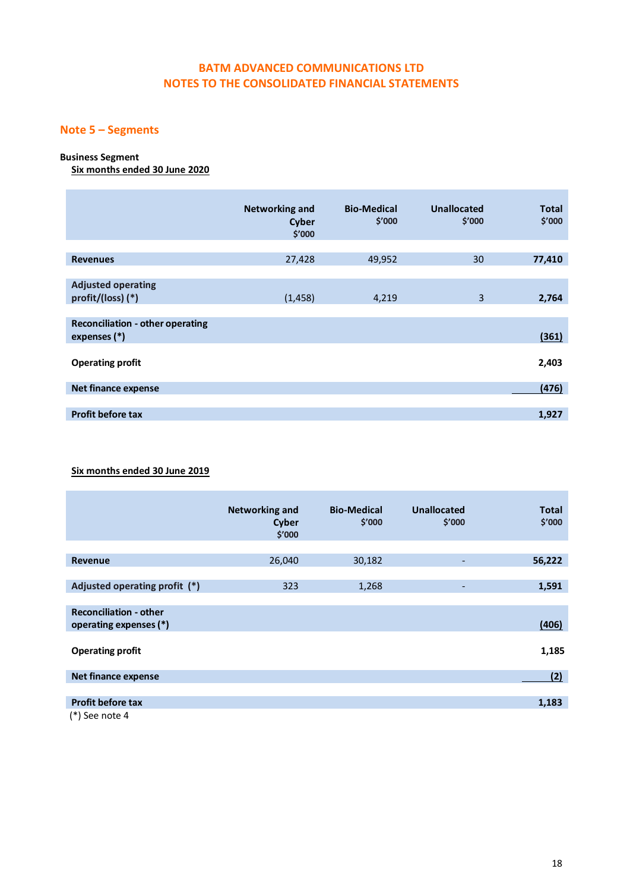# **BATM ADVANCED COMMUNICATIONS LTD NOTES TO THE CONSOLIDATED FINANCIAL STATEMENTS**

# **Note 5 – Segments**

## **Business Segment**

**Six months ended 30 June 2020**

|                                                           | <b>Networking and</b><br><b>Cyber</b><br>\$'000 | <b>Bio-Medical</b><br>\$′000 | Unallocated<br>\$′000 | <b>Total</b><br>\$'000 |
|-----------------------------------------------------------|-------------------------------------------------|------------------------------|-----------------------|------------------------|
| <b>Revenues</b>                                           | 27,428                                          | 49,952                       | 30                    | 77,410                 |
|                                                           |                                                 |                              |                       |                        |
| <b>Adjusted operating</b><br>profit/(loss) (*)            | (1, 458)                                        | 4,219                        | 3                     | 2,764                  |
| <b>Reconciliation - other operating</b><br>expenses $(*)$ |                                                 |                              |                       | (361)                  |
| <b>Operating profit</b>                                   |                                                 |                              |                       | 2,403                  |
| <b>Net finance expense</b>                                |                                                 |                              |                       | (476)                  |
|                                                           |                                                 |                              |                       |                        |
| <b>Profit before tax</b>                                  |                                                 |                              |                       | 1,927                  |

## **Six months ended 30 June 2019**

|                               | <b>Networking and</b><br><b>Cyber</b><br>\$′000 | <b>Bio-Medical</b><br>\$′000 | Unallocated<br>\$′000 | <b>Total</b><br>\$′000 |
|-------------------------------|-------------------------------------------------|------------------------------|-----------------------|------------------------|
|                               |                                                 |                              |                       |                        |
| <b>Revenue</b>                | 26,040                                          | 30,182                       |                       | 56,222                 |
|                               |                                                 |                              |                       |                        |
| Adjusted operating profit (*) | 323                                             | 1,268                        |                       | 1,591                  |
|                               |                                                 |                              |                       |                        |
| <b>Reconciliation - other</b> |                                                 |                              |                       |                        |
| operating expenses (*)        |                                                 |                              |                       | (406)                  |
|                               |                                                 |                              |                       |                        |
| <b>Operating profit</b>       |                                                 |                              |                       | 1,185                  |
|                               |                                                 |                              |                       |                        |
| <b>Net finance expense</b>    |                                                 |                              |                       | (2)                    |
|                               |                                                 |                              |                       |                        |
| <b>Profit before tax</b>      |                                                 |                              |                       | 1,183                  |
| $(*)$ See note 4              |                                                 |                              |                       |                        |